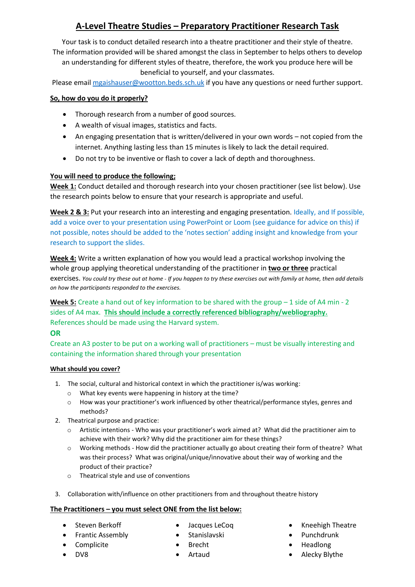# **A-Level Theatre Studies – Preparatory Practitioner Research Task**

Your task is to conduct detailed research into a theatre practitioner and their style of theatre. The information provided will be shared amongst the class in September to helps others to develop

an understanding for different styles of theatre, therefore, the work you produce here will be beneficial to yourself, and your classmates.

Please email [mgaishauser@wootton.beds.sch.uk](mailto:mgaishauser@wootton.beds.sch.uk) if you have any questions or need further support.

### **So, how do you do it properly?**

- Thorough research from a number of good sources.
- A wealth of visual images, statistics and facts.
- An engaging presentation that is written/delivered in your own words not copied from the internet. Anything lasting less than 15 minutes is likely to lack the detail required.
- Do not try to be inventive or flash to cover a lack of depth and thoroughness.

#### **You will need to produce the following;**

**Week 1:** Conduct detailed and thorough research into your chosen practitioner (see list below). Use the research points below to ensure that your research is appropriate and useful.

**Week 2 & 3:** Put your research into an interesting and engaging presentation. Ideally, and If possible, add a voice over to your presentation using PowerPoint or Loom (see guidance for advice on this) if not possible, notes should be added to the 'notes section' adding insight and knowledge from your research to support the slides.

**Week 4:** Write a written explanation of how you would lead a practical workshop involving the whole group applying theoretical understanding of the practitioner in **two or three** practical exercises. *You could try these out at home - If you happen to try these exercises out with family at home, then add details on how the participants responded to the exercises.* 

**Week 5:** Create a hand out of key information to be shared with the group – 1 side of A4 min - 2 sides of A4 max. **This should include a correctly referenced bibliography/webliography.** References should be made using the Harvard system.

# **OR**

Create an A3 poster to be put on a working wall of practitioners – must be visually interesting and containing the information shared through your presentation

## **What should you cover?**

- 1. The social, cultural and historical context in which the practitioner is/was working:
	- o What key events were happening in history at the time?
	- o How was your practitioner's work influenced by other theatrical/performance styles, genres and methods?
- 2. Theatrical purpose and practice:
	- o Artistic intentions Who was your practitioner's work aimed at? What did the practitioner aim to achieve with their work? Why did the practitioner aim for these things?
	- o Working methods How did the practitioner actually go about creating their form of theatre? What was their process? What was original/unique/innovative about their way of working and the product of their practice?
	- o Theatrical style and use of conventions
- 3. Collaboration with/influence on other practitioners from and throughout theatre history

# **The Practitioners – you must select ONE from the list below:**

- Steven Berkoff
- Frantic Assembly

• Complicite

- Jacques LeCoq
- Stanislavski
	- Brecht
	- Artaud
- Kneehigh Theatre
- Punchdrunk
- Headlong
- Alecky Blythe

• DV8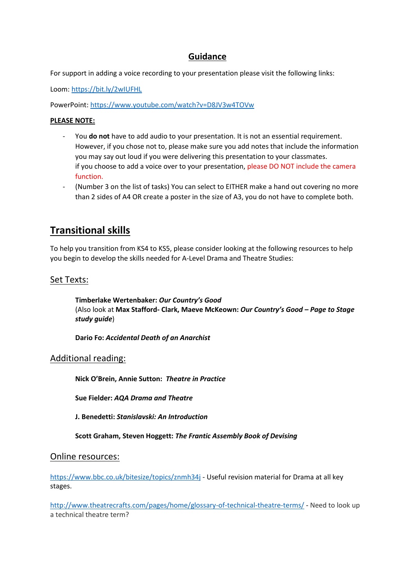# **Guidance**

For support in adding a voice recording to your presentation please visit the following links:

Loom[: https://bit.ly/2wIUFHL](https://bit.ly/2wIUFHL)

PowerPoint[: https://www.youtube.com/watch?v=D8JV3w4TOVw](https://www.youtube.com/watch?v=D8JV3w4TOVw)

#### **PLEASE NOTE:**

- You **do not** have to add audio to your presentation. It is not an essential requirement. However, if you chose not to, please make sure you add notes that include the information you may say out loud if you were delivering this presentation to your classmates. if you choose to add a voice over to your presentation, please DO NOT include the camera function.
- (Number 3 on the list of tasks) You can select to EITHER make a hand out covering no more than 2 sides of A4 OR create a poster in the size of A3, you do not have to complete both.

# **Transitional skills**

To help you transition from KS4 to KS5, please consider looking at the following resources to help you begin to develop the skills needed for A-Level Drama and Theatre Studies:

## Set Texts:

**Timberlake Wertenbaker:** *Our Country's Good* (Also look at **Max Stafford- Clark, Maeve McKeown:** *Our Country's Good – Page to Stage study guide*)

**Dario Fo:** *Accidental Death of an Anarchist*

#### Additional reading:

**Nick O'Brein, Annie Sutton:** *Theatre in Practice*

**Sue Fielder:** *AQA Drama and Theatre*

**J. Benedetti:** *Stanislavski: An Introduction*

**Scott Graham, Steven Hoggett:** *The Frantic Assembly Book of Devising*

#### Online resources:

<https://www.bbc.co.uk/bitesize/topics/znmh34j> - Useful revision material for Drama at all key stages.

<http://www.theatrecrafts.com/pages/home/glossary-of-technical-theatre-terms/> - Need to look up a technical theatre term?